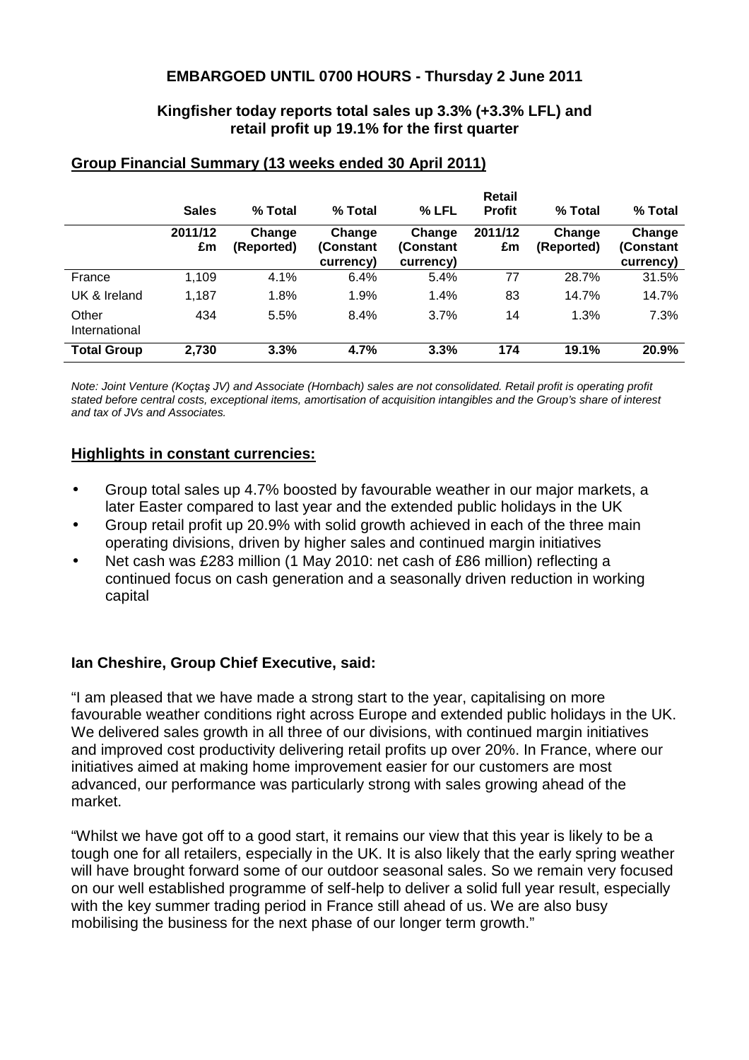### **EMBARGOED UNTIL 0700 HOURS - Thursday 2 June 2011**

### **Kingfisher today reports total sales up 3.3% (+3.3% LFL) and retail profit up 19.1% for the first quarter**

|                        |               |                      |                                  |                                  | Retail        |                      |                                  |
|------------------------|---------------|----------------------|----------------------------------|----------------------------------|---------------|----------------------|----------------------------------|
|                        | <b>Sales</b>  | % Total              | % Total                          | % LFL                            | <b>Profit</b> | % Total              | % Total                          |
|                        | 2011/12<br>£m | Change<br>(Reported) | Change<br>(Constant<br>currency) | Change<br>(Constant<br>currency) | 2011/12<br>£m | Change<br>(Reported) | Change<br>(Constant<br>currency) |
| France                 | 1,109         | 4.1%                 | 6.4%                             | 5.4%                             | 77            | 28.7%                | 31.5%                            |
| UK & Ireland           | 1,187         | 1.8%                 | 1.9%                             | 1.4%                             | 83            | 14.7%                | 14.7%                            |
| Other<br>International | 434           | 5.5%                 | 8.4%                             | 3.7%                             | 14            | 1.3%                 | 7.3%                             |
| <b>Total Group</b>     | 2,730         | 3.3%                 | 4.7%                             | 3.3%                             | 174           | 19.1%                | 20.9%                            |

### **Group Financial Summary (13 weeks ended 30 April 2011)**

Note: Joint Venture (Koçtaş JV) and Associate (Hornbach) sales are not consolidated. Retail profit is operating profit stated before central costs, exceptional items, amortisation of acquisition intangibles and the Group's share of interest and tax of JVs and Associates.

### **Highlights in constant currencies:**

- Group total sales up 4.7% boosted by favourable weather in our major markets, a later Easter compared to last year and the extended public holidays in the UK
- Group retail profit up 20.9% with solid growth achieved in each of the three main operating divisions, driven by higher sales and continued margin initiatives
- Net cash was £283 million (1 May 2010: net cash of £86 million) reflecting a continued focus on cash generation and a seasonally driven reduction in working capital

### **Ian Cheshire, Group Chief Executive, said:**

"I am pleased that we have made a strong start to the year, capitalising on more favourable weather conditions right across Europe and extended public holidays in the UK. We delivered sales growth in all three of our divisions, with continued margin initiatives and improved cost productivity delivering retail profits up over 20%. In France, where our initiatives aimed at making home improvement easier for our customers are most advanced, our performance was particularly strong with sales growing ahead of the market.

"Whilst we have got off to a good start, it remains our view that this year is likely to be a tough one for all retailers, especially in the UK. It is also likely that the early spring weather will have brought forward some of our outdoor seasonal sales. So we remain very focused on our well established programme of self-help to deliver a solid full year result, especially with the key summer trading period in France still ahead of us. We are also busy mobilising the business for the next phase of our longer term growth."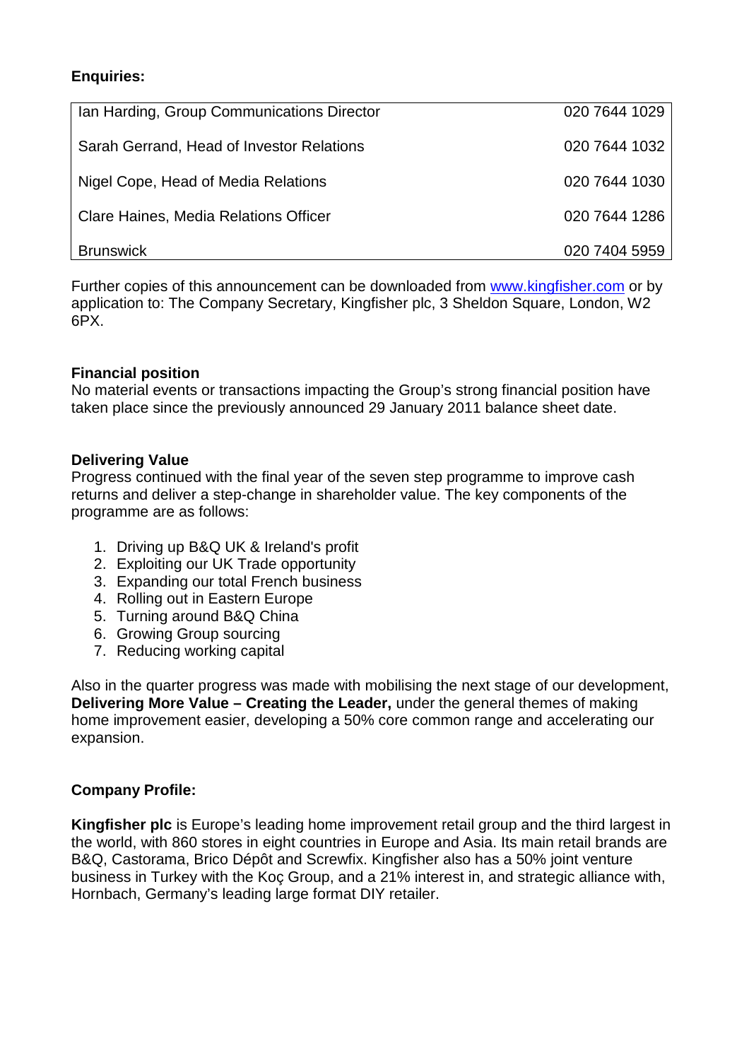# **Enquiries:**

| Ian Harding, Group Communications Director | 020 7644 1029 |
|--------------------------------------------|---------------|
| Sarah Gerrand, Head of Investor Relations  | 020 7644 1032 |
| Nigel Cope, Head of Media Relations        | 020 7644 1030 |
| Clare Haines, Media Relations Officer      | 020 7644 1286 |
| <b>Brunswick</b>                           | 020 7404 5959 |

Further copies of this announcement can be downloaded from www.kingfisher.com or by application to: The Company Secretary, Kingfisher plc, 3 Sheldon Square, London, W2 6PX.

# **Financial position**

No material events or transactions impacting the Group's strong financial position have taken place since the previously announced 29 January 2011 balance sheet date.

# **Delivering Value**

Progress continued with the final year of the seven step programme to improve cash returns and deliver a step-change in shareholder value. The key components of the programme are as follows:

- 1. Driving up B&Q UK & Ireland's profit
- 2. Exploiting our UK Trade opportunity
- 3. Expanding our total French business
- 4. Rolling out in Eastern Europe
- 5. Turning around B&Q China
- 6. Growing Group sourcing
- 7. Reducing working capital

Also in the quarter progress was made with mobilising the next stage of our development, **Delivering More Value – Creating the Leader,** under the general themes of making home improvement easier, developing a 50% core common range and accelerating our expansion.

# **Company Profile:**

**Kingfisher plc** is Europe's leading home improvement retail group and the third largest in the world, with 860 stores in eight countries in Europe and Asia. Its main retail brands are B&Q, Castorama, Brico Dépôt and Screwfix. Kingfisher also has a 50% joint venture business in Turkey with the Koç Group, and a 21% interest in, and strategic alliance with, Hornbach, Germany's leading large format DIY retailer.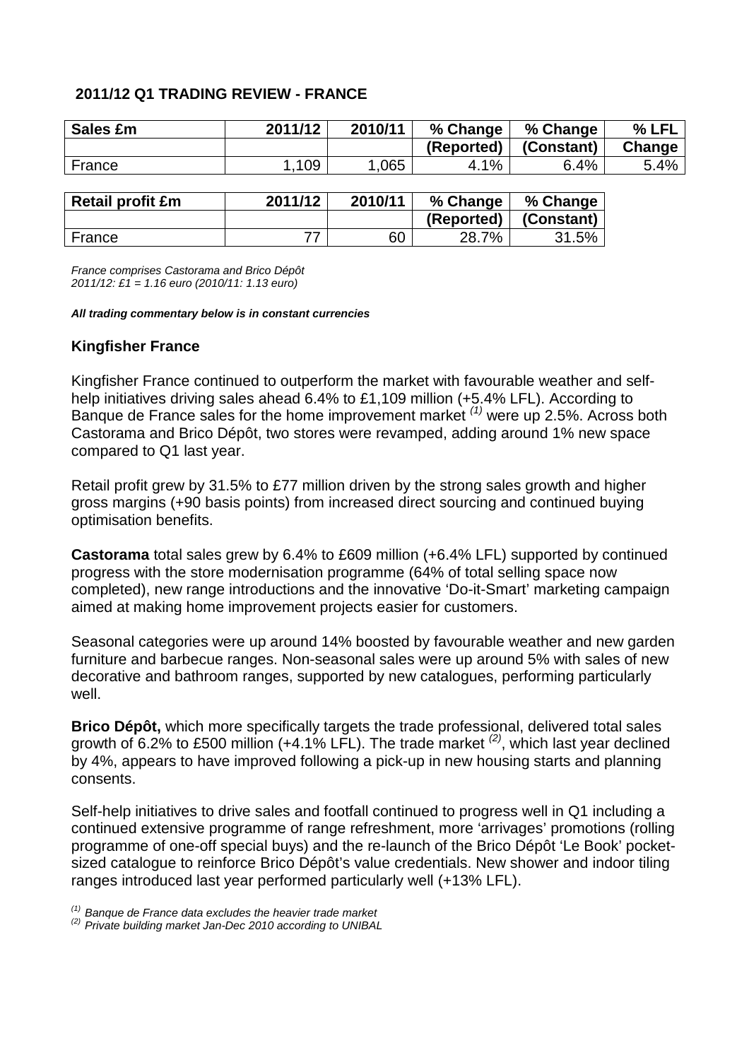# **2011/12 Q1 TRADING REVIEW - FRANCE**

| Sales £m       | 2011/12 | 2010/11 | % Change                    | % Change   | % LFL  |
|----------------|---------|---------|-----------------------------|------------|--------|
|                |         |         | (Reported)                  | (Constant) | Change |
| France         | 109     | 1.065   | 4.1%                        | 6.4%       | 5.4%   |
|                |         |         |                             |            |        |
| __<br>$\cdots$ | ------- | ------- | $\sim$ $\sim$ $\sim$ $\sim$ | ----       |        |

| <b>Retail profit £m</b> | 2011/12 | 2010/11 | % Change   | % Change   |
|-------------------------|---------|---------|------------|------------|
|                         |         |         | (Reported) | (Constant) |
| France                  |         | 60      | 28.7%      | 31.5%      |

France comprises Castorama and Brico Dépôt 2011/12: £1 = 1.16 euro (2010/11: 1.13 euro)

#### **All trading commentary below is in constant currencies**

# **Kingfisher France**

Kingfisher France continued to outperform the market with favourable weather and selfhelp initiatives driving sales ahead 6.4% to £1,109 million (+5.4% LFL). According to Banque de France sales for the home improvement market  $(1)$  were up 2.5%. Across both Castorama and Brico Dépôt, two stores were revamped, adding around 1% new space compared to Q1 last year.

Retail profit grew by 31.5% to £77 million driven by the strong sales growth and higher gross margins (+90 basis points) from increased direct sourcing and continued buying optimisation benefits.

**Castorama** total sales grew by 6.4% to £609 million (+6.4% LFL) supported by continued progress with the store modernisation programme (64% of total selling space now completed), new range introductions and the innovative 'Do-it-Smart' marketing campaign aimed at making home improvement projects easier for customers.

Seasonal categories were up around 14% boosted by favourable weather and new garden furniture and barbecue ranges. Non-seasonal sales were up around 5% with sales of new decorative and bathroom ranges, supported by new catalogues, performing particularly well.

**Brico Dépôt,** which more specifically targets the trade professional, delivered total sales growth of 6.2% to £500 million (+4.1% LFL). The trade market <sup>(2)</sup>, which last year declined by 4%, appears to have improved following a pick-up in new housing starts and planning consents.

Self-help initiatives to drive sales and footfall continued to progress well in Q1 including a continued extensive programme of range refreshment, more 'arrivages' promotions (rolling programme of one-off special buys) and the re-launch of the Brico Dépôt 'Le Book' pocketsized catalogue to reinforce Brico Dépôt's value credentials. New shower and indoor tiling ranges introduced last year performed particularly well (+13% LFL).

 $(1)$  Banque de France data excludes the heavier trade market

 $^{(2)}$  Private building market Jan-Dec 2010 according to UNIBAL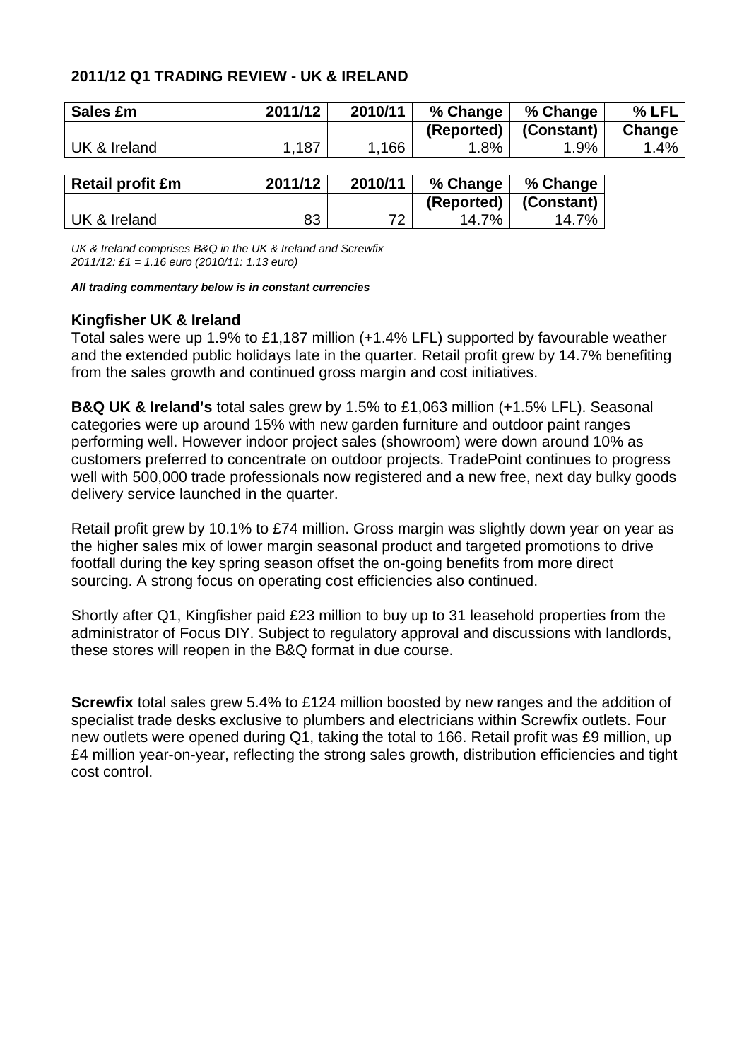### **2011/12 Q1 TRADING REVIEW - UK & IRELAND**

| Sales £m     | 2011/12 | 2010/11 | % Change   | % Change   | % LFL  |
|--------------|---------|---------|------------|------------|--------|
|              |         |         | (Reported) | (Constant) | Change |
| UK & Ireland | .187    | 166     | $1.8\%$    | .9%        | $.4\%$ |

| <b>Retail profit £m</b> | 2011/12 | 2010/11 | % Change   | % Change   |
|-------------------------|---------|---------|------------|------------|
|                         |         |         | (Reported) | (Constant) |
| UK & Ireland            | 83      | 70      | 14.7%      | 14.7%      |

UK & Ireland comprises B&Q in the UK & Ireland and Screwfix 2011/12: £1 = 1.16 euro (2010/11: 1.13 euro)

#### **All trading commentary below is in constant currencies**

### **Kingfisher UK & Ireland**

Total sales were up 1.9% to £1,187 million (+1.4% LFL) supported by favourable weather and the extended public holidays late in the quarter. Retail profit grew by 14.7% benefiting from the sales growth and continued gross margin and cost initiatives.

**B&Q UK & Ireland's** total sales grew by 1.5% to £1,063 million (+1.5% LFL). Seasonal categories were up around 15% with new garden furniture and outdoor paint ranges performing well. However indoor project sales (showroom) were down around 10% as customers preferred to concentrate on outdoor projects. TradePoint continues to progress well with 500,000 trade professionals now registered and a new free, next day bulky goods delivery service launched in the quarter.

Retail profit grew by 10.1% to £74 million. Gross margin was slightly down year on year as the higher sales mix of lower margin seasonal product and targeted promotions to drive footfall during the key spring season offset the on-going benefits from more direct sourcing. A strong focus on operating cost efficiencies also continued.

Shortly after Q1, Kingfisher paid £23 million to buy up to 31 leasehold properties from the administrator of Focus DIY. Subject to regulatory approval and discussions with landlords, these stores will reopen in the B&Q format in due course.

**Screwfix** total sales grew 5.4% to £124 million boosted by new ranges and the addition of specialist trade desks exclusive to plumbers and electricians within Screwfix outlets. Four new outlets were opened during Q1, taking the total to 166. Retail profit was £9 million, up £4 million year-on-year, reflecting the strong sales growth, distribution efficiencies and tight cost control.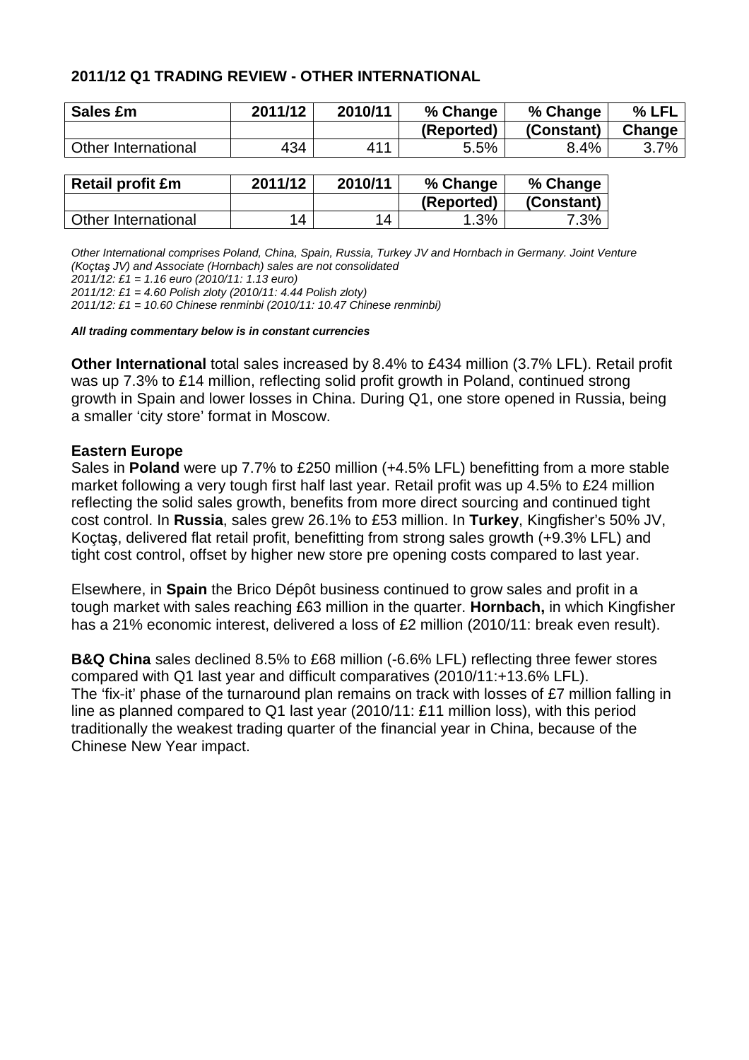### **2011/12 Q1 TRADING REVIEW - OTHER INTERNATIONAL**

| Sales £m            | 2011/12 | 2010/11 | % Change   | % Change   | % LFL   |
|---------------------|---------|---------|------------|------------|---------|
|                     |         |         | (Reported) | (Constant) | Change  |
| Other International | 434     | 411     | 5.5%       | 8.4%       | $3.7\%$ |

| <b>Retail profit £m</b> | 2011/12        | 2010/11 | % Change   | % Change   |
|-------------------------|----------------|---------|------------|------------|
|                         |                |         | (Reported) | (Constant) |
| Other International     | $\overline{4}$ | 14      | 1.3%       | 7.3%       |

Other International comprises Poland, China, Spain, Russia, Turkey JV and Hornbach in Germany. Joint Venture (Koçtaş JV) and Associate (Hornbach) sales are not consolidated

2011/12: £1 = 1.16 euro (2010/11: 1.13 euro)

2011/12: £1 = 4.60 Polish zloty (2010/11: 4.44 Polish zloty)

2011/12: £1 = 10.60 Chinese renminbi (2010/11: 10.47 Chinese renminbi)

#### **All trading commentary below is in constant currencies**

**Other International** total sales increased by 8.4% to £434 million (3.7% LFL). Retail profit was up 7.3% to £14 million, reflecting solid profit growth in Poland, continued strong growth in Spain and lower losses in China. During Q1, one store opened in Russia, being a smaller 'city store' format in Moscow.

### **Eastern Europe**

Sales in **Poland** were up 7.7% to £250 million (+4.5% LFL) benefitting from a more stable market following a very tough first half last year. Retail profit was up 4.5% to £24 million reflecting the solid sales growth, benefits from more direct sourcing and continued tight cost control. In **Russia**, sales grew 26.1% to £53 million. In **Turkey**, Kingfisher's 50% JV, Koçtaş, delivered flat retail profit, benefitting from strong sales growth (+9.3% LFL) and tight cost control, offset by higher new store pre opening costs compared to last year.

Elsewhere, in **Spain** the Brico Dépôt business continued to grow sales and profit in a tough market with sales reaching £63 million in the quarter. **Hornbach,** in which Kingfisher has a 21% economic interest, delivered a loss of £2 million (2010/11: break even result).

**B&Q China** sales declined 8.5% to £68 million (-6.6% LFL) reflecting three fewer stores compared with Q1 last year and difficult comparatives (2010/11:+13.6% LFL). The 'fix-it' phase of the turnaround plan remains on track with losses of £7 million falling in line as planned compared to Q1 last year (2010/11: £11 million loss), with this period traditionally the weakest trading quarter of the financial year in China, because of the Chinese New Year impact.